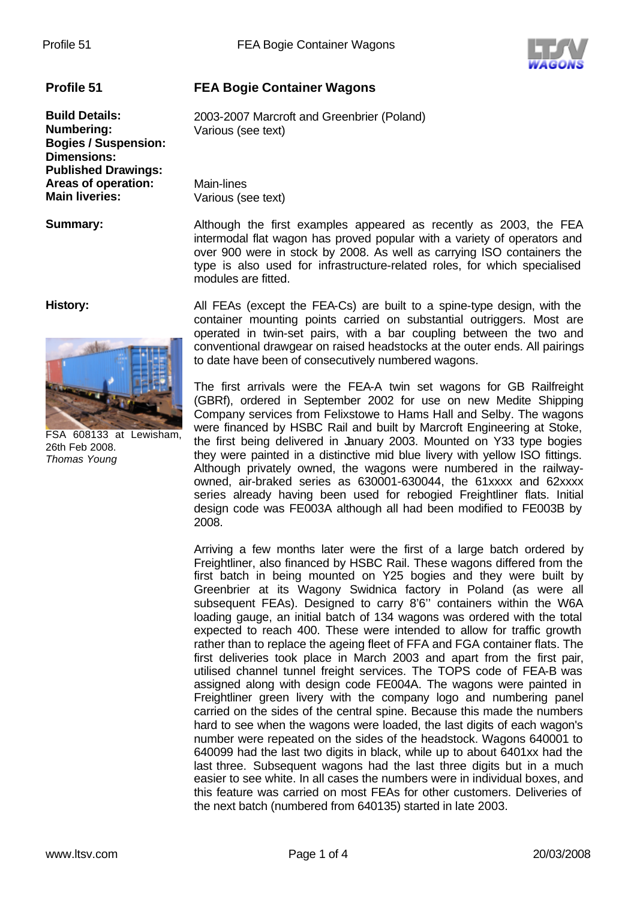

**Profile 51 FEA Bogie Container Wagons**

Various (see text)

**Build Details:** 2003-2007 Marcroft and Greenbrier (Poland)

**Numbering:** Various (see text) **Bogies / Suspension: Dimensions: Published Drawings: Areas of operation:** Main-lines<br> **Main liveries:** Various (see

**Summary:** Although the first examples appeared as recently as 2003, the FEA intermodal flat wagon has proved popular with a variety of operators and over 900 were in stock by 2008. As well as carrying ISO containers the type is also used for infrastructure-related roles, for which specialised modules are fitted.

**History:**



FSA 608133 at Lewisham, 26th Feb 2008. *Thomas Young*

All FEAs (except the FEA-Cs) are built to a spine-type design, with the container mounting points carried on substantial outriggers. Most are operated in twin-set pairs, with a bar coupling between the two and conventional drawgear on raised headstocks at the outer ends. All pairings to date have been of consecutively numbered wagons.

The first arrivals were the FEA-A twin set wagons for GB Railfreight (GBRf), ordered in September 2002 for use on new Medite Shipping Company services from Felixstowe to Hams Hall and Selby. The wagons were financed by HSBC Rail and built by Marcroft Engineering at Stoke, the first being delivered in January 2003. Mounted on Y33 type bogies they were painted in a distinctive mid blue livery with yellow ISO fittings. Although privately owned, the wagons were numbered in the railwayowned, air-braked series as 630001-630044, the 61xxxx and 62xxxx series already having been used for rebogied Freightliner flats. Initial design code was FE003A although all had been modified to FE003B by 2008.

Arriving a few months later were the first of a large batch ordered by Freightliner, also financed by HSBC Rail. These wagons differed from the first batch in being mounted on Y25 bogies and they were built by Greenbrier at its Wagony Swidnica factory in Poland (as were all subsequent FEAs). Designed to carry 8'6'' containers within the W6A loading gauge, an initial batch of 134 wagons was ordered with the total expected to reach 400. These were intended to allow for traffic growth rather than to replace the ageing fleet of FFA and FGA container flats. The first deliveries took place in March 2003 and apart from the first pair, utilised channel tunnel freight services. The TOPS code of FEA-B was assigned along with design code FE004A. The wagons were painted in Freightliner green livery with the company logo and numbering panel carried on the sides of the central spine. Because this made the numbers hard to see when the wagons were loaded, the last digits of each wagon's number were repeated on the sides of the headstock. Wagons 640001 to 640099 had the last two digits in black, while up to about 6401xx had the last three. Subsequent wagons had the last three digits but in a much easier to see white. In all cases the numbers were in individual boxes, and this feature was carried on most FEAs for other customers. Deliveries of the next batch (numbered from 640135) started in late 2003.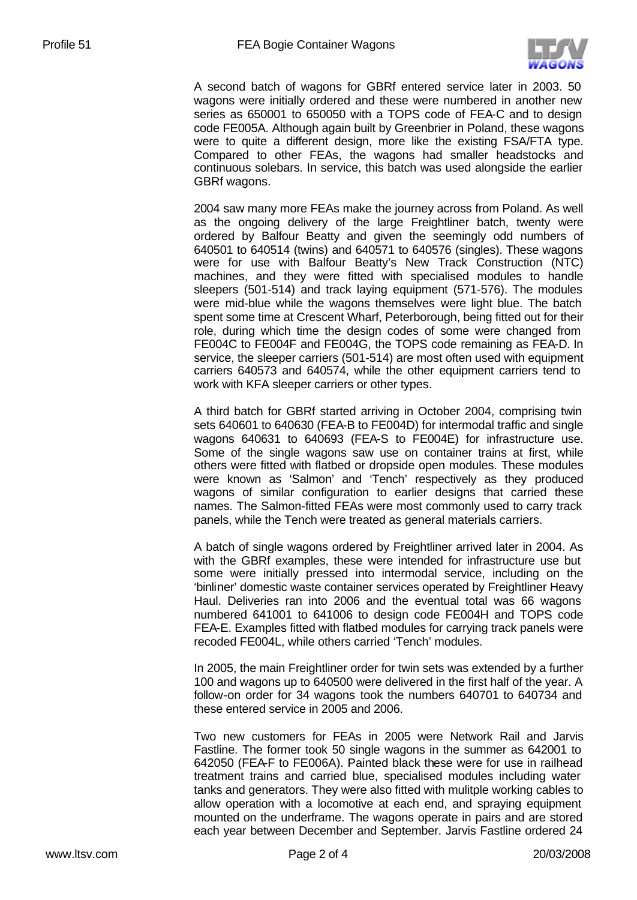

A second batch of wagons for GBRf entered service later in 2003. 50 wagons were initially ordered and these were numbered in another new series as 650001 to 650050 with a TOPS code of FEA-C and to design code FE005A. Although again built by Greenbrier in Poland, these wagons were to quite a different design, more like the existing FSA/FTA type. Compared to other FEAs, the wagons had smaller headstocks and continuous solebars. In service, this batch was used alongside the earlier GBRf wagons.

2004 saw many more FEAs make the journey across from Poland. As well as the ongoing delivery of the large Freightliner batch, twenty were ordered by Balfour Beatty and given the seemingly odd numbers of 640501 to 640514 (twins) and 640571 to 640576 (singles). These wagons were for use with Balfour Beatty's New Track Construction (NTC) machines, and they were fitted with specialised modules to handle sleepers (501-514) and track laying equipment (571-576). The modules were mid-blue while the wagons themselves were light blue. The batch spent some time at Crescent Wharf, Peterborough, being fitted out for their role, during which time the design codes of some were changed from FE004C to FE004F and FE004G, the TOPS code remaining as FEA-D. In service, the sleeper carriers (501-514) are most often used with equipment carriers 640573 and 640574, while the other equipment carriers tend to work with KFA sleeper carriers or other types.

A third batch for GBRf started arriving in October 2004, comprising twin sets 640601 to 640630 (FEA-B to FE004D) for intermodal traffic and single wagons 640631 to 640693 (FEA-S to FE004E) for infrastructure use. Some of the single wagons saw use on container trains at first, while others were fitted with flatbed or dropside open modules. These modules were known as 'Salmon' and 'Tench' respectively as they produced wagons of similar configuration to earlier designs that carried these names. The Salmon-fitted FEAs were most commonly used to carry track panels, while the Tench were treated as general materials carriers.

A batch of single wagons ordered by Freightliner arrived later in 2004. As with the GBRf examples, these were intended for infrastructure use but some were initially pressed into intermodal service, including on the 'binliner' domestic waste container services operated by Freightliner Heavy Haul. Deliveries ran into 2006 and the eventual total was 66 wagons numbered 641001 to 641006 to design code FE004H and TOPS code FEA-E. Examples fitted with flatbed modules for carrying track panels were recoded FE004L, while others carried 'Tench' modules.

In 2005, the main Freightliner order for twin sets was extended by a further 100 and wagons up to 640500 were delivered in the first half of the year. A follow-on order for 34 wagons took the numbers 640701 to 640734 and these entered service in 2005 and 2006.

Two new customers for FEAs in 2005 were Network Rail and Jarvis Fastline. The former took 50 single wagons in the summer as 642001 to 642050 (FEA-F to FE006A). Painted black these were for use in railhead treatment trains and carried blue, specialised modules including water tanks and generators. They were also fitted with mulitple working cables to allow operation with a locomotive at each end, and spraying equipment mounted on the underframe. The wagons operate in pairs and are stored each year between December and September. Jarvis Fastline ordered 24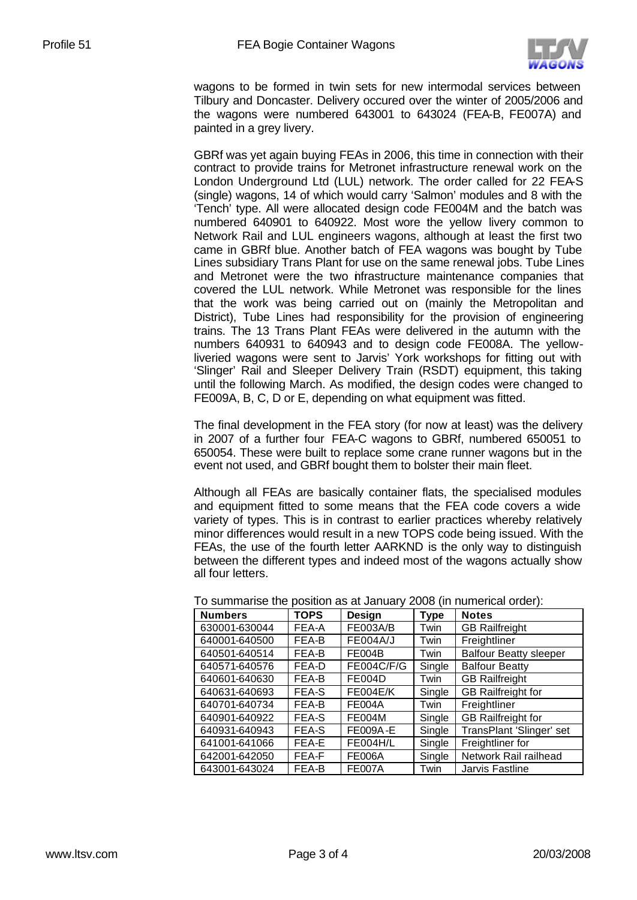

wagons to be formed in twin sets for new intermodal services between Tilbury and Doncaster. Delivery occured over the winter of 2005/2006 and the wagons were numbered 643001 to 643024 (FEA-B, FE007A) and painted in a grey livery.

GBRf was yet again buying FEAs in 2006, this time in connection with their contract to provide trains for Metronet infrastructure renewal work on the London Underground Ltd (LUL) network. The order called for 22 FEA-S (single) wagons, 14 of which would carry 'Salmon' modules and 8 with the 'Tench' type. All were allocated design code FE004M and the batch was numbered 640901 to 640922. Most wore the yellow livery common to Network Rail and LUL engineers wagons, although at least the first two came in GBRf blue. Another batch of FEA wagons was bought by Tube Lines subsidiary Trans Plant for use on the same renewal jobs. Tube Lines and Metronet were the two infrastructure maintenance companies that covered the LUL network. While Metronet was responsible for the lines that the work was being carried out on (mainly the Metropolitan and District), Tube Lines had responsibility for the provision of engineering trains. The 13 Trans Plant FEAs were delivered in the autumn with the numbers 640931 to 640943 and to design code FE008A. The yellowliveried wagons were sent to Jarvis' York workshops for fitting out with 'Slinger' Rail and Sleeper Delivery Train (RSDT) equipment, this taking until the following March. As modified, the design codes were changed to FE009A, B, C, D or E, depending on what equipment was fitted.

The final development in the FEA story (for now at least) was the delivery in 2007 of a further four FEA-C wagons to GBRf, numbered 650051 to 650054. These were built to replace some crane runner wagons but in the event not used, and GBRf bought them to bolster their main fleet.

Although all FEAs are basically container flats, the specialised modules and equipment fitted to some means that the FEA code covers a wide variety of types. This is in contrast to earlier practices whereby relatively minor differences would result in a new TOPS code being issued. With the FEAs, the use of the fourth letter AARKND is the only way to distinguish between the different types and indeed most of the wagons actually show all four letters.

| <b>Numbers</b> | <b>TOPS</b> | <b>Design</b>     | <b>Type</b> | <b>Notes</b>                  |
|----------------|-------------|-------------------|-------------|-------------------------------|
| 630001-630044  | FEA-A       | <b>FE003A/B</b>   | Twin        | <b>GB Railfreight</b>         |
| 640001-640500  | FEA-B       | <b>FE004A/J</b>   | Twin        | Freightliner                  |
| 640501-640514  | FEA-B       | <b>FE004B</b>     | Twin        | <b>Balfour Beatty sleeper</b> |
| 640571-640576  | FEA-D       | <b>FE004C/F/G</b> | Single      | <b>Balfour Beatty</b>         |
| 640601-640630  | FEA-B       | <b>FE004D</b>     | Twin        | <b>GB Railfreight</b>         |
| 640631-640693  | FEA-S       | <b>FE004E/K</b>   | Single      | <b>GB Railfreight for</b>     |
| 640701-640734  | FEA-B       | <b>FE004A</b>     | Twin        | Freightliner                  |
| 640901-640922  | FEA-S       | <b>FE004M</b>     | Single      | <b>GB Railfreight for</b>     |
| 640931-640943  | FEA-S       | <b>FE009A-E</b>   | Single      | TransPlant 'Slinger' set      |
| 641001-641066  | FEA-E       | <b>FE004H/L</b>   | Single      | Freightliner for              |
| 642001-642050  | FEA-F       | <b>FE006A</b>     | Single      | Network Rail railhead         |
| 643001-643024  | FEA-B       | <b>FE007A</b>     | Twin        | Jarvis Fastline               |

To summarise the position as at January 2008 (in numerical order):